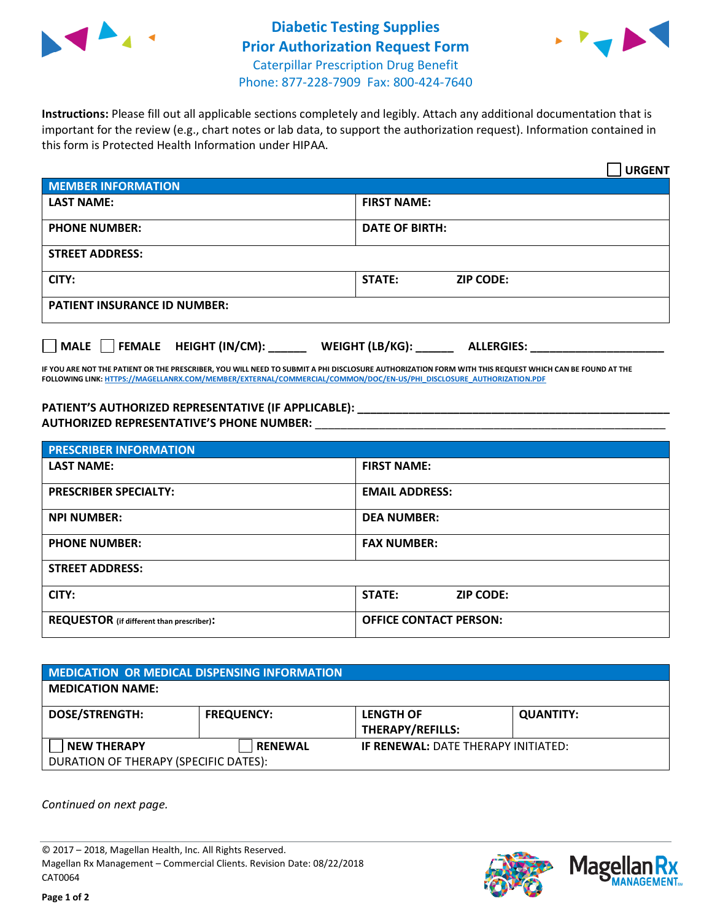



**Instructions:** Please fill out all applicable sections completely and legibly. Attach any additional documentation that is important for the review (e.g., chart notes or lab data, to support the authorization request). Information contained in this form is Protected Health Information under HIPAA.

|                                     | <b>URGENT</b>                        |  |  |  |
|-------------------------------------|--------------------------------------|--|--|--|
| <b>MEMBER INFORMATION</b>           |                                      |  |  |  |
| <b>LAST NAME:</b>                   | <b>FIRST NAME:</b>                   |  |  |  |
| <b>PHONE NUMBER:</b>                | <b>DATE OF BIRTH:</b>                |  |  |  |
| <b>STREET ADDRESS:</b>              |                                      |  |  |  |
| CITY:                               | STATE:<br><b>ZIP CODE:</b>           |  |  |  |
| <b>PATIENT INSURANCE ID NUMBER:</b> |                                      |  |  |  |
| FEMALE HEIGHT (IN/CM):<br>    MALE  | WEIGHT (LB/KG):<br><b>ALLERGIES:</b> |  |  |  |

**IF YOU ARE NOT THE PATIENT OR THE PRESCRIBER, YOU WILL NEED TO SUBMIT A PHI DISCLOSURE AUTHORIZATION FORM WITH THIS REQUEST WHICH CAN BE FOUND AT THE FOLLOWING LINK[: HTTPS://MAGELLANRX.COM/MEMBER/EXTERNAL/COMMERCIAL/COMMON/DOC/EN-US/PHI\\_DISCLOSURE\\_AUTHORIZATION.PDF](https://magellanrx.com/member/external/commercial/common/doc/en-us/PHI_Disclosure_Authorization.pdf)**

PATIENT'S AUTHORIZED REPRESENTATIVE (IF APPLICABLE): **AUTHORIZED REPRESENTATIVE'S PHONE NUMBER:** \_\_\_\_\_\_\_\_\_\_\_\_\_\_\_\_\_\_\_\_\_\_\_\_\_\_\_\_\_\_\_\_\_\_\_\_\_\_\_\_\_\_\_\_\_\_\_\_\_\_\_\_\_\_\_

| <b>PRESCRIBER INFORMATION</b>             |                                   |  |
|-------------------------------------------|-----------------------------------|--|
| <b>LAST NAME:</b>                         | <b>FIRST NAME:</b>                |  |
| <b>PRESCRIBER SPECIALTY:</b>              | <b>EMAIL ADDRESS:</b>             |  |
| <b>NPI NUMBER:</b>                        | <b>DEA NUMBER:</b>                |  |
| <b>PHONE NUMBER:</b>                      | <b>FAX NUMBER:</b>                |  |
| <b>STREET ADDRESS:</b>                    |                                   |  |
| CITY:                                     | <b>STATE:</b><br><b>ZIP CODE:</b> |  |
| REQUESTOR (if different than prescriber): | <b>OFFICE CONTACT PERSON:</b>     |  |

| <b>MEDICATION OR MEDICAL DISPENSING INFORMATION</b> |                   |                                            |                  |  |  |
|-----------------------------------------------------|-------------------|--------------------------------------------|------------------|--|--|
| <b>MEDICATION NAME:</b>                             |                   |                                            |                  |  |  |
| <b>DOSE/STRENGTH:</b>                               | <b>FREQUENCY:</b> | <b>LENGTH OF</b>                           | <b>QUANTITY:</b> |  |  |
|                                                     |                   | <b>THERAPY/REFILLS:</b>                    |                  |  |  |
| <b>NEW THERAPY</b>                                  | <b>RENEWAL</b>    | <b>IF RENEWAL: DATE THERAPY INITIATED:</b> |                  |  |  |
| DURATION OF THERAPY (SPECIFIC DATES):               |                   |                                            |                  |  |  |

*Continued on next page.*

© 2017 – 2018, Magellan Health, Inc. All Rights Reserved. Magellan Rx Management – Commercial Clients. Revision Date: 08/22/2018 CAT0064